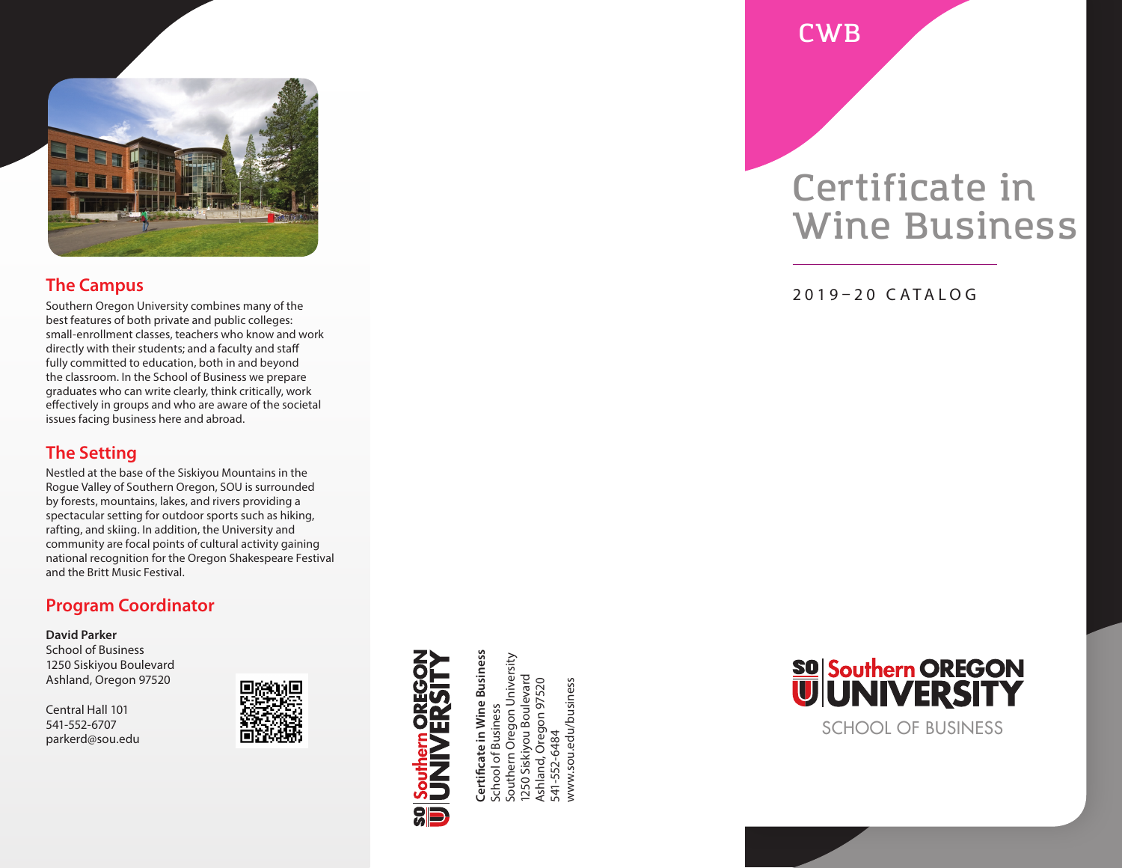

## **The Campus**

Southern Oregon University combines many of the best features of both private and public colleges: small-enrollment classes, teachers who know and work directly with their students; and a faculty and staff fully committed to education, both in and beyond the classroom. In the School of Business we prepare graduates who can write clearly, think critically, work effectively in groups and who are aware of the societal issues facing business here and abroad.

## **The Setting**

Nestled at the base of the Siskiyou Mountains in the Rogue Valley of Southern Oregon, SOU is surrounded by forests, mountains, lakes, and rivers providing a spectacular setting for outdoor sports such as hiking, rafting, and skiing. In addition, the University and community are focal points of cultural activity gaining national recognition for the Oregon Shakespeare Festival and the Britt Music Festival.

## **Program Coordinator**

#### **David Parker**

School of Business 1250 Siskiyou Boulevard Ashland, Oregon 97520

Central Hall 101 541-552-6707 parkerd@sou.edu



Certificate in Wine Business<br>School of Business<br>Southern Oregon University **Certificate in Wine Business** Southern Oregon University 1250 Siskiyou Boulevard 1250 Siskiyou Boulevard Ashland, Oregon 97520 Ashland, Oregon 97520 www.sou.edu/business www.sou.edu/business School of Business 541-552-6484 541-552-6484

**CWB**

## **Certificate in Wine Business**

2019–20 CATALOG